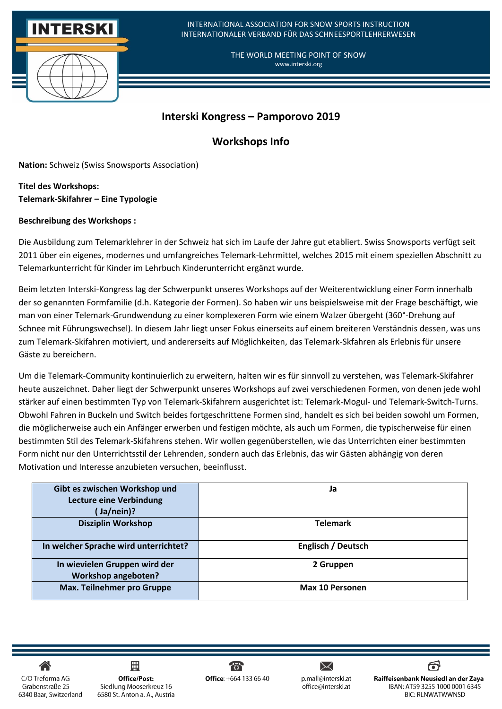

# **Interski Kongress – Pamporovo 2019**

# **Workshops Info**

**Nation:** Schweiz (Swiss Snowsports Association)

**Titel des Workshops: Telemark-Skifahrer – Eine Typologie**

### **Beschreibung des Workshops :**

Die Ausbildung zum Telemarklehrer in der Schweiz hat sich im Laufe der Jahre gut etabliert. Swiss Snowsports verfügt seit 2011 über ein eigenes, modernes und umfangreiches Telemark-Lehrmittel, welches 2015 mit einem speziellen Abschnitt zu Telemarkunterricht für Kinder im Lehrbuch Kinderunterricht ergänzt wurde.

Beim letzten Interski-Kongress lag der Schwerpunkt unseres Workshops auf der Weiterentwicklung einer Form innerhalb der so genannten Formfamilie (d.h. Kategorie der Formen). So haben wir uns beispielsweise mit der Frage beschäftigt, wie man von einer Telemark-Grundwendung zu einer komplexeren Form wie einem Walzer übergeht (360°-Drehung auf Schnee mit Führungswechsel). In diesem Jahr liegt unser Fokus einerseits auf einem breiteren Verständnis dessen, was uns zum Telemark-Skifahren motiviert, und andererseits auf Möglichkeiten, das Telemark-Skfahren als Erlebnis für unsere Gäste zu bereichern.

Um die Telemark-Community kontinuierlich zu erweitern, halten wir es für sinnvoll zu verstehen, was Telemark-Skifahrer heute auszeichnet. Daher liegt der Schwerpunkt unseres Workshops auf zwei verschiedenen Formen, von denen jede wohl stärker auf einen bestimmten Typ von Telemark-Skifahrern ausgerichtet ist: Telemark-Mogul- und Telemark-Switch-Turns. Obwohl Fahren in Buckeln und Switch beides fortgeschrittene Formen sind, handelt es sich bei beiden sowohl um Formen, die möglicherweise auch ein Anfänger erwerben und festigen möchte, als auch um Formen, die typischerweise für einen bestimmten Stil des Telemark-Skifahrens stehen. Wir wollen gegenüberstellen, wie das Unterrichten einer bestimmten Form nicht nur den Unterrichtsstil der Lehrenden, sondern auch das Erlebnis, das wir Gästen abhängig von deren Motivation und Interesse anzubieten versuchen, beeinflusst.

| Gibt es zwischen Workshop und         | Ja                        |
|---------------------------------------|---------------------------|
| <b>Lecture eine Verbindung</b>        |                           |
| Ja/nein)?                             |                           |
| <b>Disziplin Workshop</b>             | <b>Telemark</b>           |
|                                       |                           |
| In welcher Sprache wird unterrichtet? | <b>Englisch / Deutsch</b> |
|                                       |                           |
| In wievielen Gruppen wird der         | 2 Gruppen                 |
| <b>Workshop angeboten?</b>            |                           |
| Max. Teilnehmer pro Gruppe            | Max 10 Personen           |
|                                       |                           |

C/O Treforma AG Grabenstraße 25 6340 Baar, Switzerland

凲 **Office/Post:** Siedlung Mooserkreuz 16 6580 St. Anton a. A., Austria

ਨਾ Office: +664 133 66 40

 $\bm{\times}$ p.mall@interski.at office@interski.at

ම Raiffeisenbank Neusiedl an der Zaya IBAN: AT59 3255 1000 0001 6345 **BIC: RLNWATWWNSD**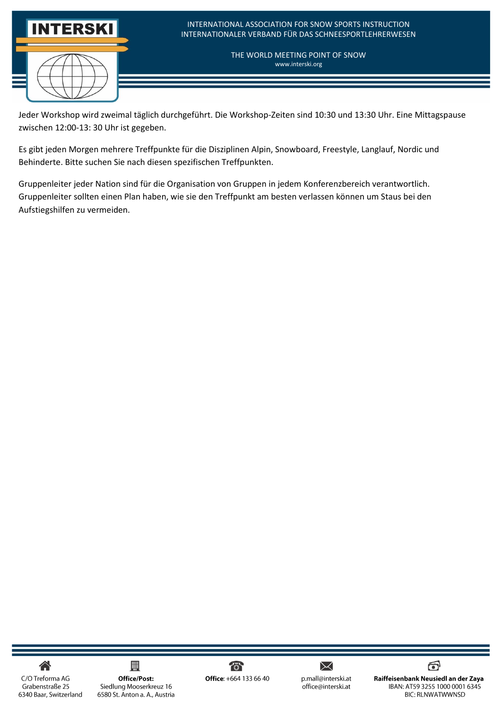

Jeder Workshop wird zweimal täglich durchgeführt. Die Workshop-Zeiten sind 10:30 und 13:30 Uhr. Eine Mittagspause zwischen 12:00-13: 30 Uhr ist gegeben.

Es gibt jeden Morgen mehrere Treffpunkte für die Disziplinen Alpin, Snowboard, Freestyle, Langlauf, Nordic und Behinderte. Bitte suchen Sie nach diesen spezifischen Treffpunkten.

Gruppenleiter jeder Nation sind für die Organisation von Gruppen in jedem Konferenzbereich verantwortlich. Gruppenleiter sollten einen Plan haben, wie sie den Treffpunkt am besten verlassen können um Staus bei den Aufstiegshilfen zu vermeiden.

合

C/O Treforma AG Grabenstraße 25 6340 Baar, Switzerland

#### 用 Office/Post: Siedlung Mooserkreuz 16 6580 St. Anton a. A., Austria



 $\times$ p.mall@interski.at .<br>office@interski.at

ම් Raiffeisenbank Neusiedl an der Zaya IBAN: AT59 3255 1000 0001 6345 **BIC: RLNWATWWNSD**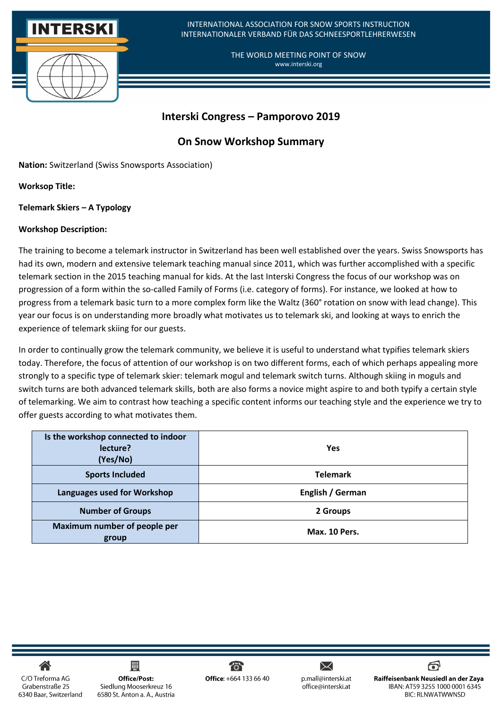

## **Interski Congress – Pamporovo 2019**

## **On Snow Workshop Summary**

**Nation:** Switzerland (Swiss Snowsports Association)

**Worksop Title:** 

**Telemark Skiers – A Typology** 

### **Workshop Description:**

The training to become a telemark instructor in Switzerland has been well established over the years. Swiss Snowsports has had its own, modern and extensive telemark teaching manual since 2011, which was further accomplished with a specific telemark section in the 2015 teaching manual for kids. At the last Interski Congress the focus of our workshop was on progression of a form within the so-called Family of Forms (i.e. category of forms). For instance, we looked at how to progress from a telemark basic turn to a more complex form like the Waltz (360° rotation on snow with lead change). This year our focus is on understanding more broadly what motivates us to telemark ski, and looking at ways to enrich the experience of telemark skiing for our guests.

In order to continually grow the telemark community, we believe it is useful to understand what typifies telemark skiers today. Therefore, the focus of attention of our workshop is on two different forms, each of which perhaps appealing more strongly to a specific type of telemark skier: telemark mogul and telemark switch turns. Although skiing in moguls and switch turns are both advanced telemark skills, both are also forms a novice might aspire to and both typify a certain style of telemarking. We aim to contrast how teaching a specific content informs our teaching style and the experience we try to offer guests according to what motivates them.

| Is the workshop connected to indoor<br>lecture?<br>(Yes/No) | <b>Yes</b>       |
|-------------------------------------------------------------|------------------|
| <b>Sports Included</b>                                      | <b>Telemark</b>  |
| Languages used for Workshop                                 | English / German |
| <b>Number of Groups</b>                                     | 2 Groups         |
| Maximum number of people per<br>group                       | Max. 10 Pers.    |

C/O Treforma AG Grabenstraße 25 6340 Baar, Switzerland

凲 **Office/Post:** Siedlung Mooserkreuz 16 6580 St. Anton a. A., Austria



 $\bm{\times}$ p.mall@interski.at office@interski.at

ම Raiffeisenbank Neusiedl an der Zaya IBAN: AT59 3255 1000 0001 6345 **BIC: RLNWATWWNSD**